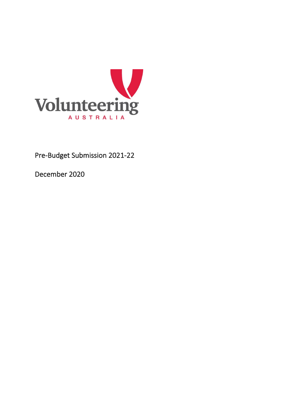

December 2020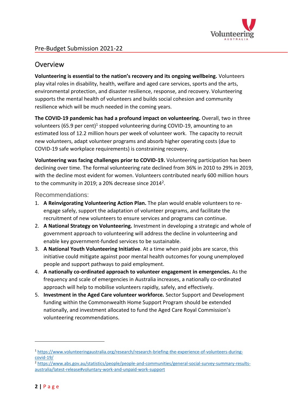

## Overview

**Volunteering is essential to the nation's recovery and its ongoing wellbeing.** Volunteers play vital roles in disability, health, welfare and aged care services, sports and the arts, environmental protection, and disaster resilience, response, and recovery. Volunteering supports the mental health of volunteers and builds social cohesion and community resilience which will be much needed in the coming years.

**The COVID-19 pandemic has had a profound impact on volunteering.** Overall, two in three volunteers (65.9 per cent)<sup>1</sup> stopped volunteering during COVID-19, amounting to an estimated loss of 12.2 million hours per week of volunteer work. The capacity to recruit new volunteers, adapt volunteer programs and absorb higher operating costs (due to COVID-19 safe workplace requirements) is constraining recovery.

**Volunteering was facing challenges prior to COVID-19.** Volunteering participation has been declining over time. The formal volunteering rate declined from 36% in 2010 to 29% in 2019, with the decline most evident for women. Volunteers contributed nearly 600 million hours to the community in 2019; a 20% decrease since 2014<sup>2</sup>.

Recommendations:

- 1. **A Reinvigorating Volunteering Action Plan.** The plan would enable volunteers to reengage safely, support the adaptation of volunteer programs, and facilitate the recruitment of new volunteers to ensure services and programs can continue.
- 2. **A National Strategy on Volunteering.** Investment in developing a strategic and whole of government approach to volunteering will address the decline in volunteering and enable key government-funded services to be sustainable.
- 3. **A National Youth Volunteering Initiative**. At a time when paid jobs are scarce, this initiative could mitigate against poor mental health outcomes for young unemployed people and support pathways to paid employment.
- 4. **A nationally co-ordinated approach to volunteer engagement in emergencies.** As the frequency and scale of emergencies in Australia increases, a nationally co-ordinated approach will help to mobilise volunteers rapidly, safely, and effectively.
- 5. **Investment in the Aged Care volunteer workforce.** Sector Support and Development funding within the Commonwealth Home Support Program should be extended nationally, and investment allocated to fund the Aged Care Royal Commission's volunteering recommendations.

<sup>1</sup> [https://www.volunteeringaustralia.org/research/research-briefing-the-experience-of-volunteers-during](https://www.volunteeringaustralia.org/research/research-briefing-the-experience-of-volunteers-during-covid-19/)[covid-19/](https://www.volunteeringaustralia.org/research/research-briefing-the-experience-of-volunteers-during-covid-19/)

<sup>2</sup> [https://www.abs.gov.au/statistics/people/people-and-communities/general-social-survey-summary-results](https://www.abs.gov.au/statistics/people/people-and-communities/general-social-survey-summary-results-australia/latest-release#voluntary-work-and-unpaid-work-support)[australia/latest-release#voluntary-work-and-unpaid-work-support](https://www.abs.gov.au/statistics/people/people-and-communities/general-social-survey-summary-results-australia/latest-release#voluntary-work-and-unpaid-work-support)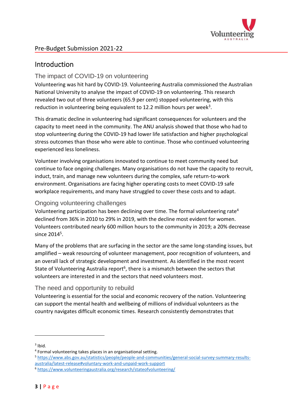

## **Introduction**

## The impact of COVID-19 on volunteering

Volunteering was hit hard by COVID-19. Volunteering Australia commissioned the Australian National University to analyse the impact of COVID-19 on volunteering. This research revealed two out of three volunteers (65.9 per cent) stopped volunteering, with this reduction in volunteering being equivalent to 12.2 million hours per week<sup>3</sup>.

This dramatic decline in volunteering had significant consequences for volunteers and the capacity to meet need in the community. The ANU analysis showed that those who had to stop volunteering during the COVID-19 had lower life satisfaction and higher psychological stress outcomes than those who were able to continue. Those who continued volunteering experienced less loneliness.

Volunteer involving organisations innovated to continue to meet community need but continue to face ongoing challenges. Many organisations do not have the capacity to recruit, induct, train, and manage new volunteers during the complex, safe return-to-work environment. Organisations are facing higher operating costs to meet COVID-19 safe workplace requirements, and many have struggled to cover these costs and to adapt.

### Ongoing volunteering challenges

Volunteering participation has been declining over time. The formal volunteering rate<sup>4</sup> declined from 36% in 2010 to 29% in 2019, with the decline most evident for women. Volunteers contributed nearly 600 million hours to the community in 2019; a 20% decrease since 2014<sup>5</sup>.

Many of the problems that are surfacing in the sector are the same long-standing issues, but amplified – weak resourcing of volunteer management, poor recognition of volunteers, and an overall lack of strategic development and investment. As identified in the most recent State of Volunteering Australia report<sup>6</sup>, there is a mismatch between the sectors that volunteers are interested in and the sectors that need volunteers most.

## The need and opportunity to rebuild

Volunteering is essential for the social and economic recovery of the nation. Volunteering can support the mental health and wellbeing of millions of individual volunteers as the country navigates difficult economic times. Research consistently demonstrates that

 $3$  Ibid.

<sup>4</sup> Formal volunteering takes places in an organisational setting.

<sup>5</sup> [https://www.abs.gov.au/statistics/people/people-and-communities/general-social-survey-summary-results](https://www.abs.gov.au/statistics/people/people-and-communities/general-social-survey-summary-results-australia/latest-release#voluntary-work-and-unpaid-work-support)[australia/latest-release#voluntary-work-and-unpaid-work-support](https://www.abs.gov.au/statistics/people/people-and-communities/general-social-survey-summary-results-australia/latest-release#voluntary-work-and-unpaid-work-support)

<sup>6</sup> <https://www.volunteeringaustralia.org/research/stateofvolunteering/>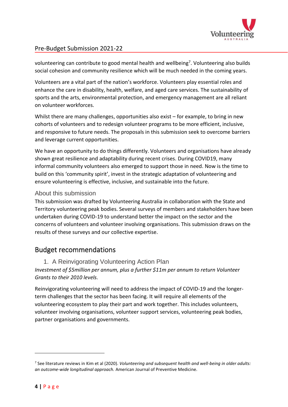

volunteering can contribute to good mental health and wellbeing<sup>7</sup>. Volunteering also builds social cohesion and community resilience which will be much needed in the coming years.

Volunteers are a vital part of the nation's workforce. Volunteers play essential roles and enhance the care in disability, health, welfare, and aged care services. The sustainability of sports and the arts, environmental protection, and emergency management are all reliant on volunteer workforces.

Whilst there are many challenges, opportunities also exist – for example, to bring in new cohorts of volunteers and to redesign volunteer programs to be more efficient, inclusive, and responsive to future needs. The proposals in this submission seek to overcome barriers and leverage current opportunities.

We have an opportunity to do things differently. Volunteers and organisations have already shown great resilience and adaptability during recent crises. During COVID19, many informal community volunteers also emerged to support those in need. Now is the time to build on this 'community spirit', invest in the strategic adaptation of volunteering and ensure volunteering is effective, inclusive, and sustainable into the future.

## About this submission

This submission was drafted by Volunteering Australia in collaboration with the State and Territory volunteering peak bodies. Several surveys of members and stakeholders have been undertaken during COVID-19 to understand better the impact on the sector and the concerns of volunteers and volunteer involving organisations. This submission draws on the results of these surveys and our collective expertise.

## Budget recommendations

1. A Reinvigorating Volunteering Action Plan

*Investment of \$5million per annum, plus a further \$11m per annum to return Volunteer Grants to their 2010 levels.*

Reinvigorating volunteering will need to address the impact of COVID-19 and the longerterm challenges that the sector has been facing. It will require all elements of the volunteering ecosystem to play their part and work together. This includes volunteers, volunteer involving organisations, volunteer support services, volunteering peak bodies, partner organisations and governments.

<sup>7</sup> See literature reviews in Kim et al (2020). *Volunteering and subsequent health and well-being in older adults: an outcome-wide longitudinal approach.* American Journal of Preventive Medicine.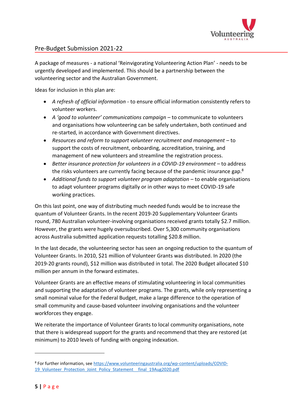

A package of measures - a national 'Reinvigorating Volunteering Action Plan' - needs to be urgently developed and implemented. This should be a partnership between the volunteering sector and the Australian Government.

Ideas for inclusion in this plan are:

- *A refresh of official information -* to ensure official information consistently refers to volunteer workers.
- *A 'good to volunteer' communications campaign* to communicate to volunteers and organisations how volunteering can be safely undertaken, both continued and re-started, in accordance with Government directives.
- *Resources and reform to support volunteer recruitment and management* to support the costs of recruitment, onboarding, accreditation, training, and management of new volunteers and streamline the registration process.
- *Better insurance protection for volunteers in a COVID-19 environment* to address the risks volunteers are currently facing because of the pandemic insurance gap.<sup>8</sup>
- *Additional funds to support volunteer program adaptation* to enable organisations to adapt volunteer programs digitally or in other ways to meet COVID-19 safe working practices.

On this last point, one way of distributing much needed funds would be to increase the quantum of Volunteer Grants. In the recent 2019-20 Supplementary Volunteer Grants round, 780 Australian volunteer-involving organisations received grants totally \$2.7 million. However, the grants were hugely oversubscribed. Over 5,300 community organisations across Australia submitted application requests totalling \$20.8 million.

In the last decade, the volunteering sector has seen an ongoing reduction to the quantum of Volunteer Grants. In 2010, \$21 million of Volunteer Grants was distributed. In 2020 (the 2019-20 grants round), \$12 million was distributed in total. The 2020 Budget allocated \$10 million per annum in the forward estimates.

Volunteer Grants are an effective means of stimulating volunteering in local communities and supporting the adaptation of volunteer programs. The grants, while only representing a small nominal value for the Federal Budget, make a large difference to the operation of small community and cause-based volunteer involving organisations and the volunteer workforces they engage.

We reiterate the importance of Volunteer Grants to local community organisations, note that there is widespread support for the grants and recommend that they are restored (at minimum) to 2010 levels of funding with ongoing indexation.

<sup>&</sup>lt;sup>8</sup> For further information, see [https://www.volunteeringaustralia.org/wp-content/uploads/COVID-](https://www.volunteeringaustralia.org/wp-content/uploads/COVID-19_Volunteer_Protection_Joint_Policy_Statement__final_19Aug2020.pdf)19 Volunteer Protection Joint Policy Statement final 19Aug2020.pdf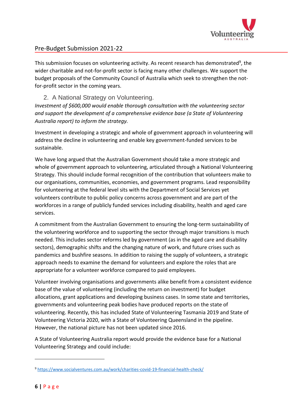

This submission focuses on volunteering activity. As recent research has demonstrated<sup>9</sup>, the wider charitable and not-for-profit sector is facing many other challenges. We support the budget proposals of the Community Council of Australia which seek to strengthen the notfor-profit sector in the coming years.

### 2. A National Strategy on Volunteering.

*Investment of \$600,000 would enable thorough consultation with the volunteering sector and support the development of a comprehensive evidence base (a State of Volunteering Australia report) to inform the strategy.*

Investment in developing a strategic and whole of government approach in volunteering will address the decline in volunteering and enable key government-funded services to be sustainable.

We have long argued that the Australian Government should take a more strategic and whole of government approach to volunteering, articulated through a National Volunteering Strategy. This should include formal recognition of the contribution that volunteers make to our organisations, communities, economies, and government programs. Lead responsibility for volunteering at the federal level sits with the Department of Social Services yet volunteers contribute to public policy concerns across government and are part of the workforces in a range of publicly funded services including disability, health and aged care services.

A commitment from the Australian Government to ensuring the long-term sustainability of the volunteering workforce and to supporting the sector through major transitions is much needed. This includes sector reforms led by government (as in the aged care and disability sectors), demographic shifts and the changing nature of work, and future crises such as pandemics and bushfire seasons. In addition to raising the supply of volunteers, a strategic approach needs to examine the demand for volunteers and explore the roles that are appropriate for a volunteer workforce compared to paid employees.

Volunteer involving organisations and governments alike benefit from a consistent evidence base of the value of volunteering (including the return on investment) for budget allocations, grant applications and developing business cases. In some state and territories, governments and volunteering peak bodies have produced reports on the state of volunteering. Recently, this has included State of Volunteering Tasmania 2019 and State of Volunteering Victoria 2020, with a State of Volunteering Queensland in the pipeline. However, the national picture has not been updated since 2016.

A State of Volunteering Australia report would provide the evidence base for a National Volunteering Strategy and could include:

<sup>9</sup> <https://www.socialventures.com.au/work/charities-covid-19-financial-health-check/>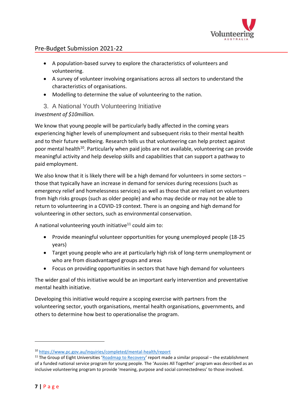

- A population-based survey to explore the characteristics of volunteers and volunteering.
- A survey of volunteer involving organisations across all sectors to understand the characteristics of organisations.
- Modelling to determine the value of volunteering to the nation.

## 3. A National Youth Volunteering Initiative

*Investment of \$10million.*

We know that young people will be particularly badly affected in the coming years experiencing higher levels of unemployment and subsequent risks to their mental health and to their future wellbeing. Research tells us that volunteering can help protect against poor mental health<sup>10</sup>. Particularly when paid jobs are not available, volunteering can provide meaningful activity and help develop skills and capabilities that can support a pathway to paid employment.

We also know that it is likely there will be a high demand for volunteers in some sectors those that typically have an increase in demand for services during recessions (such as emergency relief and homelessness services) as well as those that are reliant on volunteers from high risks groups (such as older people) and who may decide or may not be able to return to volunteering in a COVID-19 context. There is an ongoing and high demand for volunteering in other sectors, such as environmental conservation.

A national volunteering youth initiative<sup>11</sup> could aim to:

- Provide meaningful volunteer opportunities for young unemployed people (18-25 years)
- Target young people who are at particularly high risk of long-term unemployment or who are from disadvantaged groups and areas
- Focus on providing opportunities in sectors that have high demand for volunteers

The wider goal of this initiative would be an important early intervention and preventative mental health initiative.

Developing this initiative would require a scoping exercise with partners from the volunteering sector, youth organisations, mental health organisations, governments, and others to determine how best to operationalise the program.

<sup>10</sup> <https://www.pc.gov.au/inquiries/completed/mental-health/report>

<sup>&</sup>lt;sup>11</sup> The Group of Eight Universities '[Roadmap to Recovery](https://go8.edu.au/research/roadmap-to-recovery)' report made a similar proposal – the establishment of a funded national service program for young people. The 'Aussies All Together' program was described as an inclusive volunteering program to provide 'meaning, purpose and social connectedness' to those involved.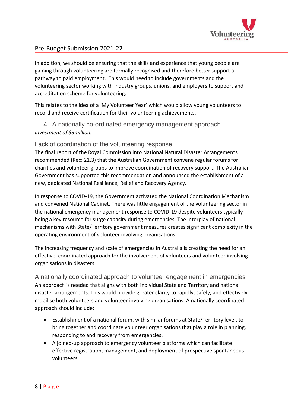

In addition, we should be ensuring that the skills and experience that young people are gaining through volunteering are formally recognised and therefore better support a pathway to paid employment. This would need to include governments and the volunteering sector working with industry groups, unions, and employers to support and accreditation scheme for volunteering.

This relates to the idea of a 'My Volunteer Year' which would allow young volunteers to record and receive certification for their volunteering achievements.

## 4. A nationally co-ordinated emergency management approach *Investment of \$3million.*

#### Lack of coordination of the volunteering response

The final report of the Royal Commission into National Natural Disaster Arrangements recommended (Rec: 21.3) that the Australian Government convene regular forums for charities and volunteer groups to improve coordination of recovery support. The Australian Government has supported this recommendation and announced the establishment of a new, dedicated National Resilience, Relief and Recovery Agency.

In response to COVID-19, the Government activated the National Coordination Mechanism and convened National Cabinet. There was little engagement of the volunteering sector in the national emergency management response to COVID-19 despite volunteers typically being a key resource for surge capacity during emergencies. The interplay of national mechanisms with State/Territory government measures creates significant complexity in the operating environment of volunteer involving organisations.

The increasing frequency and scale of emergencies in Australia is creating the need for an effective, coordinated approach for the involvement of volunteers and volunteer involving organisations in disasters.

A nationally coordinated approach to volunteer engagement in emergencies An approach is needed that aligns with both individual State and Territory and national disaster arrangements. This would provide greater clarity to rapidly, safely, and effectively mobilise both volunteers and volunteer involving organisations. A nationally coordinated approach should include:

- Establishment of a national forum, with similar forums at State/Territory level, to bring together and coordinate volunteer organisations that play a role in planning, responding to and recovery from emergencies.
- A joined-up approach to emergency volunteer platforms which can facilitate effective registration, management, and deployment of prospective spontaneous volunteers.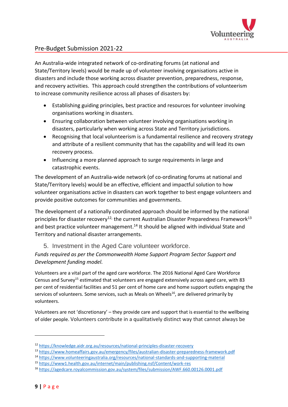

An Australia-wide integrated network of co-ordinating forums (at national and State/Territory levels) would be made up of volunteer involving organisations active in disasters and include those working across disaster prevention, preparedness, response, and recovery activities. This approach could strengthen the contributions of volunteerism to increase community resilience across all phases of disasters by:

- Establishing guiding principles, best practice and resources for volunteer involving organisations working in disasters.
- Ensuring collaboration between volunteer involving organisations working in disasters, particularly when working across State and Territory jurisdictions.
- Recognising that local volunteerism is a fundamental resilience and recovery strategy and attribute of a resilient community that has the capability and will lead its own recovery process.
- Influencing a more planned approach to surge requirements in large and catastrophic events.

The development of an Australia-wide network (of co-ordinating forums at national and State/Territory levels) would be an effective, efficient and impactful solution to how volunteer organisations active in disasters can work together to best engage volunteers and provide positive outcomes for communities and governments.

The development of a nationally coordinated approach should be informed by the national principles for disaster recovery<sup>12,</sup> the current Australian Disaster Preparedness Framework<sup>13</sup> and best practice volunteer management.<sup>14</sup> It should be aligned with individual State and Territory and national disaster arrangements.

5. Investment in the Aged Care volunteer workforce.

*Funds required as per the Commonwealth Home Support Program Sector Support and Development funding model.*

Volunteers are a vital part of the aged care workforce. The 2016 National Aged Care Workforce Census and Survey<sup>15</sup> estimated that volunteers are engaged extensively across aged care, with 83 per cent of residential facilities and 51 per cent of home care and home support outlets engaging the services of volunteers. Some services, such as Meals on Wheels<sup>16</sup>, are delivered primarily by volunteers.

Volunteers are not 'discretionary' – they provide care and support that is essential to the wellbeing of older people. Volunteers contribute in a qualitatively distinct way that cannot always be

<sup>12</sup> <https://knowledge.aidr.org.au/resources/national-principles-disaster-recovery>

<sup>13</sup> <https://www.homeaffairs.gov.au/emergency/files/australian-disaster-preparedness-framework.pdf>

<sup>14</sup> [https://www.volunteeringaustralia.org/resources/national-standards-and-supporting-material](https://www.volunteeringaustralia.org/resources/national-standards-and-supporting-material/) 

<sup>15</sup> <https://www1.health.gov.au/internet/main/publishing.nsf/Content/work-res>

<sup>16</sup> <https://agedcare.royalcommission.gov.au/system/files/submission/AWF.660.00126.0001.pdf>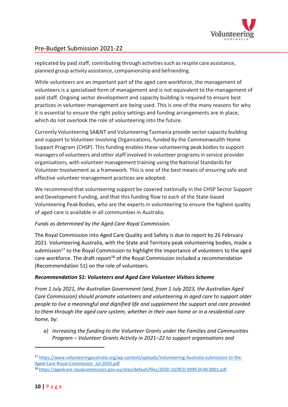

replicated by paid staff, contributing through activities such as respite care assistance, planned group activity assistance, companionship and befriending.

While volunteers are an important part of the aged care workforce, the management of volunteers is a specialised form of management and is not equivalent to the management of paid staff. Ongoing sector development and capacity building is required to ensure best practices in volunteer management are being used. This is one of the many reasons for why it is essential to ensure the right policy settings and funding arrangements are in place, which do not overlook the role of volunteering into the future.

Currently Volunteering SA&NT and Volunteering Tasmania provide sector capacity building and support to Volunteer Involving Organisations, funded by the Commonwealth Home Support Program (CHSP). This funding enables these volunteering peak bodies to support managers of volunteers and other staff involved in volunteer programs in service provider organisations, with volunteer management training using the National Standardsfor Volunteer Involvement as a framework. This is one of the best means of ensuring safe and effective volunteer management practices are adopted.

We recommend that volunteering support be covered nationally in the CHSP Sector Support and Development Funding, and that this funding flow to each of the State-based Volunteering PeakBodies, who are the experts in volunteering to ensure the highest quality of aged care is available in all communities in Australia.

#### *Funds as determined by the Aged Care Royal Commission.*

The Royal Commission into Aged Care Quality and Safety is due to report by 26 February 2021. Volunteering Australia, with the State and Territory peak volunteering bodies, made a submission<sup>17</sup> to the Royal Commission to highlight the importance of volunteers to the aged care workforce. The draft report<sup>18</sup> of the Royal Commission included a recommendation (Recommendation 51) on the role of volunteers.

#### *Recommendation 51: Volunteers and Aged Care Volunteer Visitors Scheme*

*From 1 July 2021, the Australian Government (and, from 1 July 2023, the Australian Aged Care Commission) should promote volunteers and volunteering in aged care to support older people to live a meaningful and dignified life and supplement the support and care provided to them through the aged care system, whether in their own home or in a residential care home, by:* 

*a) increasing the funding to the Volunteer Grants under the Families and Communities Program – Volunteer Grants Activity in 2021–22 to support organisations and* 

<sup>17</sup> [https://www.volunteeringaustralia.org/wp-content/uploads/Volunteering-Australia-submission-to-the-](https://www.volunteeringaustralia.org/wp-content/uploads/Volunteering-Australia-submission-to-the-Aged-Care-Royal-Commission_Jul-2020.pdf)[Aged-Care-Royal-Commission\\_Jul-2020.pdf](https://www.volunteeringaustralia.org/wp-content/uploads/Volunteering-Australia-submission-to-the-Aged-Care-Royal-Commission_Jul-2020.pdf)

<sup>18</sup> <https://agedcare.royalcommission.gov.au/sites/default/files/2020-10/RCD.9999.0540.0001.pdf>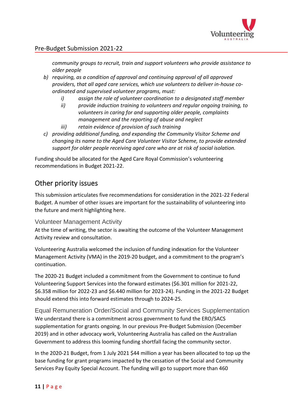

*community groups to recruit, train and support volunteers who provide assistance to older people*

- *b) requiring, as a condition of approval and continuing approval of all approved providers, that all aged care services, which use volunteers to deliver in-house coordinated and supervised volunteer programs, must:*
	- *i) assign the role of volunteer coordination to a designated staff member*
	- *ii) provide induction training to volunteers and regular ongoing training, to volunteers in caring for and supporting older people, complaints management and the reporting of abuse and neglect*
	- *iii) retain evidence of provision of such training*
- *c) providing additional funding, and expanding the Community Visitor Scheme and changing its name to the Aged Care Volunteer Visitor Scheme, to provide extended support for older people receiving aged care who are at risk of social isolation.*

Funding should be allocated for the Aged Care Royal Commission's volunteering recommendations in Budget 2021-22.

## Other priority issues

This submission articulates five recommendations for consideration in the 2021-22 Federal Budget. A number of other issues are important for the sustainability of volunteering into the future and merit highlighting here.

#### Volunteer Management Activity

At the time of writing, the sector is awaiting the outcome of the Volunteer Management Activity review and consultation.

Volunteering Australia welcomed the inclusion of funding indexation for the Volunteer Management Activity (VMA) in the 2019-20 budget, and a commitment to the program's continuation.

The 2020-21 Budget included a commitment from the Government to continue to fund Volunteering Support Services into the forward estimates (\$6.301 million for 2021-22, \$6.358 million for 2022-23 and \$6.440 million for 2023-24). Funding in the 2021-22 Budget should extend this into forward estimates through to 2024-25.

Equal Remuneration Order/Social and Community Services Supplementation We understand there is a commitment across government to fund the ERO/SACS supplementation for grants ongoing. In our previous Pre-Budget Submission (December 2019) and in other advocacy work, Volunteering Australia has called on the Australian Government to address this looming funding shortfall facing the community sector.

In the 2020-21 Budget, from 1 July 2021 \$44 million a year has been allocated to top up the base funding for grant programs impacted by the cessation of the Social and Community Services Pay Equity Special Account. The funding will go to support more than 460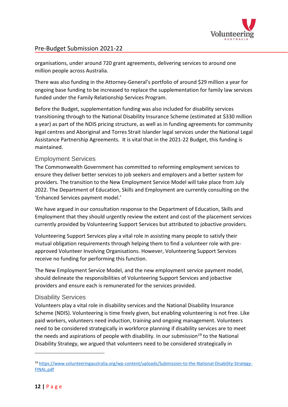

organisations, under around 720 grant agreements, delivering services to around one million people across Australia.

There was also funding in the Attorney-General's portfolio of around \$29 million a year for ongoing base funding to be increased to replace the supplementation for family law services funded under the Family Relationship Services Program.

Before the Budget, supplementation funding was also included for disability services transitioning through to the National Disability Insurance Scheme (estimated at \$330 million a year) as part of the NDIS pricing structure, as well as in funding agreements for community legal centres and Aboriginal and Torres Strait Islander legal services under the National Legal Assistance Partnership Agreements. It is vital that in the 2021-22 Budget, this funding is maintained.

## Employment Services

The Commonwealth Government has committed to reforming employment services to ensure they deliver better services to job seekers and employers and a better system for providers. The transition to the New Employment Service Model will take place from July 2022. The Department of Education, Skills and Employment are currently consulting on the 'Enhanced Services payment model.'

We have argued in our consultation response to the Department of Education, Skills and Employment that they should urgently review the extent and cost of the placement services currently provided by Volunteering Support Services but attributed to jobactive providers.

Volunteering Support Services play a vital role in assisting many people to satisfy their mutual obligation requirements through helping them to find a volunteer role with preapproved Volunteer Involving Organisations. However, Volunteering Support Services receive no funding for performing this function.

The New Employment Service Model, and the new employment service payment model, should delineate the responsibilities of Volunteering Support Services and jobactive providers and ensure each is remunerated for the services provided.

## Disability Services

Volunteers play a vital role in disability services and the National Disability Insurance Scheme (NDIS). Volunteering is time freely given, but enabling volunteering is not free. Like paid workers, volunteers need induction, training and ongoing management. Volunteers need to be considered strategically in workforce planning if disability services are to meet the needs and aspirations of people with disability. In our submission<sup>19</sup> to the National Disability Strategy, we argued that volunteers need to be considered strategically in

<sup>19</sup> [https://www.volunteeringaustralia.org/wp-content/uploads/Submission-to-the-National-Disability-Strategy-](https://www.volunteeringaustralia.org/wp-content/uploads/Submission-to-the-National-Disability-Strategy-FINAL.pdf)[FINAL.pdf](https://www.volunteeringaustralia.org/wp-content/uploads/Submission-to-the-National-Disability-Strategy-FINAL.pdf)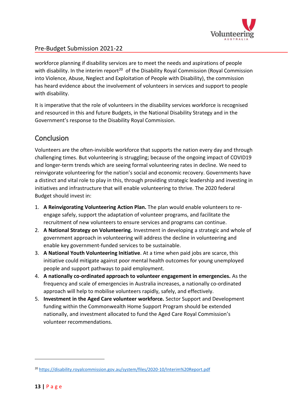

workforce planning if disability services are to meet the needs and aspirations of people with disability. In the interim report<sup>20</sup> of the Disability Royal Commission (Royal Commission into Violence, Abuse, Neglect and Exploitation of People with Disability), the commission has heard evidence about the involvement of volunteers in services and support to people with disability.

It is imperative that the role of volunteers in the disability services workforce is recognised and resourced in this and future Budgets, in the National Disability Strategy and in the Government's response to the Disability Royal Commission.

# **Conclusion**

Volunteers are the often-invisible workforce that supports the nation every day and through challenging times. But volunteering is struggling; because of the ongoing impact of COVID19 and longer-term trends which are seeing formal volunteering rates in decline. We need to reinvigorate volunteering for the nation's social and economic recovery. Governments have a distinct and vital role to play in this, through providing strategic leadership and investing in initiatives and infrastructure that will enable volunteering to thrive. The 2020 federal Budget should invest in:

- 1. **A Reinvigorating Volunteering Action Plan.** The plan would enable volunteers to reengage safely, support the adaptation of volunteer programs, and facilitate the recruitment of new volunteers to ensure services and programs can continue.
- 2. **A National Strategy on Volunteering.** Investment in developing a strategic and whole of government approach in volunteering will address the decline in volunteering and enable key government-funded services to be sustainable.
- 3. **A National Youth Volunteering Initiative**. At a time when paid jobs are scarce, this initiative could mitigate against poor mental health outcomes for young unemployed people and support pathways to paid employment.
- 4. **A nationally co-ordinated approach to volunteer engagement in emergencies.** As the frequency and scale of emergencies in Australia increases, a nationally co-ordinated approach will help to mobilise volunteers rapidly, safely, and effectively.
- 5. **Investment in the Aged Care volunteer workforce.** Sector Support and Development funding within the Commonwealth Home Support Program should be extended nationally, and investment allocated to fund the Aged Care Royal Commission's volunteer recommendations.

<sup>&</sup>lt;sup>20</sup> <https://disability.royalcommission.gov.au/system/files/2020-10/Interim%20Report.pdf>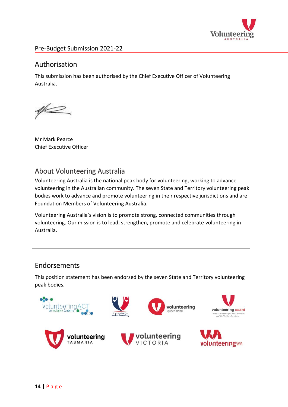

# Authorisation

This submission has been authorised by the Chief Executive Officer of Volunteering Australia.

 $\mathscr{U}$ 

Mr Mark Pearce Chief Executive Officer

# About Volunteering Australia

Volunteering Australia is the national peak body for volunteering, working to advance volunteering in the Australian community. The seven State and Territory volunteering peak bodies work to advance and promote volunteering in their respective jurisdictions and are Foundation Members of Volunteering Australia.

Volunteering Australia's vision is to promote strong, connected communities through volunteering. Our mission is to lead, strengthen, promote and celebrate volunteering in Australia.

# Endorsements

This position statement has been endorsed by the seven State and Territory volunteering peak bodies.